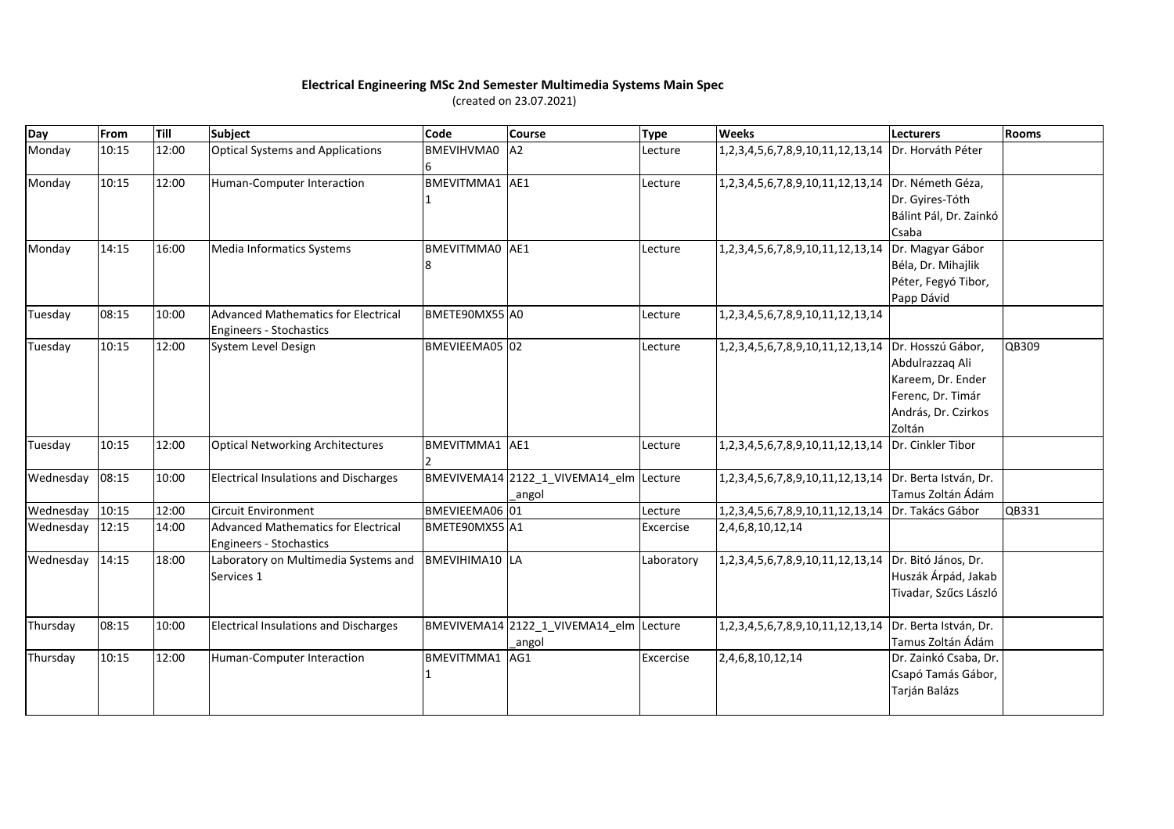## **Electrical Engineering MSc 2nd Semester Multimedia Systems Main Spec**

(created on 23.07.2021)

| Day       | From  | Till  | <b>Subject</b>                                                               | Code                  | <b>Course</b>                                     | <b>Type</b> | <b>Weeks</b>                                           | Lecturers                                                                                  | <b>Rooms</b> |
|-----------|-------|-------|------------------------------------------------------------------------------|-----------------------|---------------------------------------------------|-------------|--------------------------------------------------------|--------------------------------------------------------------------------------------------|--------------|
| Monday    | 10:15 | 12:00 | <b>Optical Systems and Applications</b>                                      | <b>BMEVIHVMA0</b>     | A2                                                | Lecture     | 1,2,3,4,5,6,7,8,9,10,11,12,13,14   Dr. Horváth Péter   |                                                                                            |              |
| Monday    | 10:15 | 12:00 | Human-Computer Interaction                                                   | BMEVITMMA1 AE1        |                                                   | Lecture     | 1,2,3,4,5,6,7,8,9,10,11,12,13,14   Dr. Németh Géza,    | Dr. Gyires-Tóth<br>Bálint Pál, Dr. Zainkó<br>Csaba                                         |              |
| Monday    | 14:15 | 16:00 | Media Informatics Systems                                                    | BMEVITMMA0 AE1<br>8   |                                                   | Lecture     | 1,2,3,4,5,6,7,8,9,10,11,12,13,14 Dr. Magyar Gábor      | Béla, Dr. Mihajlik<br>Péter, Fegyó Tibor,<br>Papp Dávid                                    |              |
| Tuesday   | 08:15 | 10:00 | <b>Advanced Mathematics for Electrical</b><br><b>Engineers - Stochastics</b> | BMETE90MX55 A0        |                                                   | Lecture     | 1, 2, 3, 4, 5, 6, 7, 8, 9, 10, 11, 12, 13, 14          |                                                                                            |              |
| Tuesday   | 10:15 | 12:00 | System Level Design                                                          | BMEVIEEMA05 02        |                                                   | Lecture     | 1,2,3,4,5,6,7,8,9,10,11,12,13,14 Dr. Hosszú Gábor,     | Abdulrazzag Ali<br>Kareem, Dr. Ender<br>Ferenc, Dr. Timár<br>András, Dr. Czirkos<br>Zoltán | QB309        |
| Tuesday   | 10:15 | 12:00 | <b>Optical Networking Architectures</b>                                      | BMEVITMMA1 AE1        |                                                   | Lecture     | 1,2,3,4,5,6,7,8,9,10,11,12,13,14 Dr. Cinkler Tibor     |                                                                                            |              |
| Wednesday | 08:15 | 10:00 | <b>Electrical Insulations and Discharges</b>                                 |                       | BMEVIVEMA14 2122_1_VIVEMA14_elm Lecture<br>_angol |             | 1,2,3,4,5,6,7,8,9,10,11,12,13,14 Dr. Berta István, Dr. | Tamus Zoltán Ádám                                                                          |              |
| Wednesday | 10:15 | 12:00 | <b>Circuit Environment</b>                                                   | BMEVIEEMA06 01        |                                                   | Lecture     | 1,2,3,4,5,6,7,8,9,10,11,12,13,14 Dr. Takács Gábor      |                                                                                            | QB331        |
| Wednesday | 12:15 | 14:00 | <b>Advanced Mathematics for Electrical</b><br><b>Engineers - Stochastics</b> | BMETE90MX55 A1        |                                                   | Excercise   | 2,4,6,8,10,12,14                                       |                                                                                            |              |
| Wednesday | 14:15 | 18:00 | Laboratory on Multimedia Systems and<br>Services 1                           | <b>BMEVIHIMA10</b> LA |                                                   | Laboratory  | 1,2,3,4,5,6,7,8,9,10,11,12,13,14 Dr. Bitó János, Dr.   | Huszák Árpád, Jakab<br>Tivadar, Szűcs László                                               |              |
| Thursday  | 08:15 | 10:00 | <b>Electrical Insulations and Discharges</b>                                 |                       | BMEVIVEMA14 2122_1_VIVEMA14_elm Lecture<br>_angol |             | 1,2,3,4,5,6,7,8,9,10,11,12,13,14 Dr. Berta István, Dr. | Tamus Zoltán Ádám                                                                          |              |
| Thursday  | 10:15 | 12:00 | Human-Computer Interaction                                                   | BMEVITMMA1 AG1        |                                                   | Excercise   | 2,4,6,8,10,12,14                                       | Dr. Zainkó Csaba, Dr.<br>Csapó Tamás Gábor,<br>Tarján Balázs                               |              |